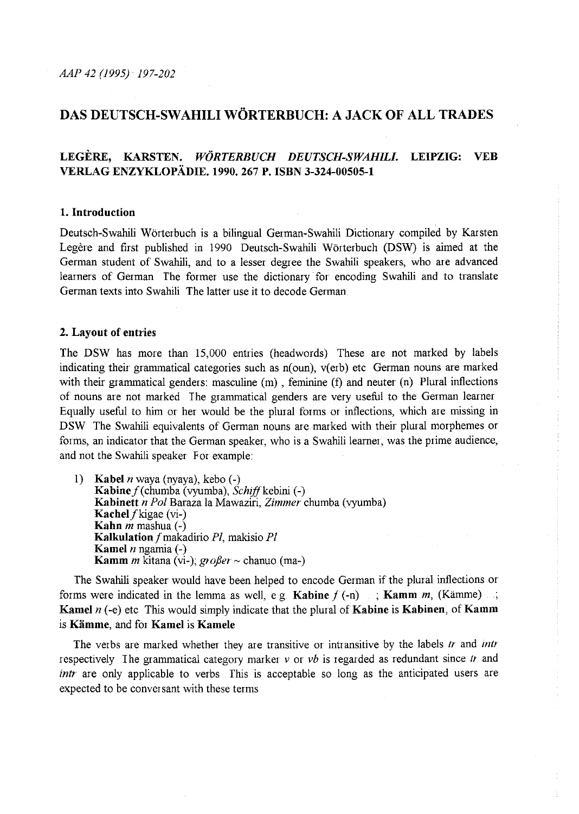*AAP 42 (1995) 197-202* 

# **DAS DEUTSCH-SW AHILI WORTERBUCH: A JACK OF ALL TRADES**

## **LEGERE, KARSTEN.** *WORTERBUCH DEUTSCH-SWAHILI.* **LEIPZIG: VEB VERLAG ENZYKLOPADIE. 1990. 267 P. ISBN 3-324-00505-1**

#### **1. Introduction**

Deutsch-Swahili Worterbuch is a bilingual German-Swahili Dictionary compiled by Karsten Legère and first published in 1990 Deutsch-Swahili Wörterbuch (DSW) is aimed at the German student of Swahili, and to a lesser degree the Swahili speakers, who are advanced learners of German The former use the dictionary for encoding Swahili and to translate German texts into Swahili The latter use it to decode German

#### **2. Layout of entries**

The DSW has more than 15,000 entries (headwords) These are not marked by labels indicating their grammatical categories such as  $n(oun)$ ,  $v( orb)$  etc German nouns are marked with their grammatical genders: masculine (m), feminine (f) and neuter (n) Plural inflections of nouns are not marked The grammatical genders are very useful to the German learner Equally useful to him or her would be the plural forms or inflections, which are missing in DSW The Swahili equivalents of German nouns are marked with their plural morphemes or forms, an indicator that the German speaker, who is a Swahili learner, was the prime audience, and not the Swahili speaker For example:

1) **Kabel** *n* waya (nyaya), kebo (-) Kabine  $f$ (chumba (vyumba), Schiff kebini (-) **Kabinett** *n Pal* Baraza la Mawaziri, *Zimmer* chumba (vyumba) Kachel  $f$ kigae (vi-) **Kahn** *m* mashua (-) **Kalkulation** fmakadirio PI, makisio PI **Kamel** *n* ngamia (-) **Kamm** *m* kitana (vi-);  $\alpha \partial \beta e r \sim \text{chanuo (ma-)}$ 

The Swahili speaker would have been helped to encode German if the plural inflections or forms were indicated in the lemma as well, e g. **Kabine**  $f(-n)$ ; **Kamm** *m*, (Kämme); **Kamel** *n* (-e) etc This would simply indicate that the plural of **Kabine is Kabinen, of Kamm**  is **Kiimme,** and for **Kamel is Kamele** 

The verbs are marked whether they are transitive or intransitive by the labels *tr* and *mtr*  respectively I he grammatical category marker *v* or *vb* is regarded as redundant since *tr* and *intr* are only applicable to verbs This is acceptable so long as the anticipated users are expected to be conversant with these terms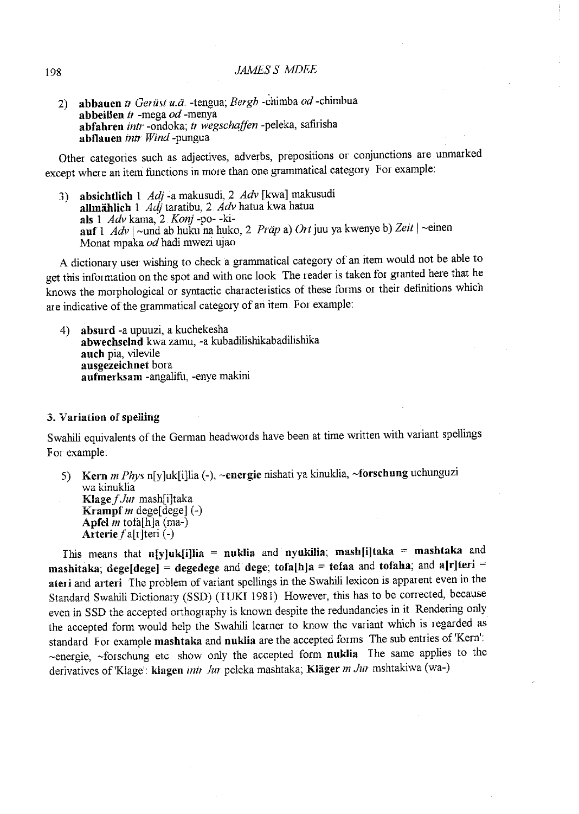### 198 *JAMESS MDEE*

2) abbauen *tr Gerüst u.ä.* -tengua; *Bergb* -chimba *od* -chimbua **abbeifien** tJ -mega *od* -menya **abfahren** *intr* -ondoka; *t1 wegschaffen* -peleka, safirisha abflauen *intr Wind-pungua* 

Other categories such as adjectives, adverbs, prepositions or conjunctions are unmarked except where an item functions in more than one grammatical category For example:

3) **absichtlich 1** *Adj* -a makusudi, 2 *Adv* [kwa] makusudi **allmiihlich** 1 *Adj* tar atibu, 2. *Adv* hatua kwa hatua **als** 1 *Adv* kama, 2 *Konj* -po- -ki**auf 1** *Adv* 1-und ab huku na huko, 2 *Flap* a) *Ortjuu* ya kwenye b) *Zeit* 1-einen Monat mpaka od hadi mwezi ujao

A dictionary user wishing to check a grammatical category of an item would not be able to get this information on the spot and with one look The reader is taken for granted here that he knows the morphological or syntactic characteristics of these forms or their definitions which are indicative of the grammatical category of an item. For example:

4) **absurd** -a upuuzi, a kuchekesha **abwechselnd** kwa zamu, -a kubadilishikabadilishika **auch** pia, vilevile **ausgezeichnet** bora **aufmerksam** -angalifu, -enye makini

#### 3. Variation of spelling

Swahili equivalents of the German headwords have been at time written with variant spellings For example:

5) **Kern** *m Phys* n[y]uk[i]lia (-), ~energie nishati ya kinuklia, ~forschung uchunguzi wa kinuklia **Klage** f *JUJ* mash[i]taka **Krampf** *m* dege[dege]  $(-)$ **Apfel** *m* tofa[h ]a (ma-) **Arterie**  $f$  a[**r**]teri (-)

This means that **n[y]uk[i]lia = nuklia** and **nyukilia; mash[i]taka = mashtaka** and **mashitaka; dege[dege] = degedege** and **dege; tofa[h]a = tofaa** and **tofaha;** and **a[r]teri** <sup>=</sup> **ateri and arteri** The problem of variant spellings in the Swahili lexicon is apparent even in the Standard Swahili Dictionary (SSD) (IUKI 1981) However, this has to be conected, because even in SSD the accepted orthography is known despite the redundancies in it Rendering only the accepted form would help the Swahili learner to know the variant which is regarded as standard For example **mashtaka and nuklia** are the accepted forms The sub entries of'Kem': -energie, -forschung etc show only the accepted form **nuklia** Ihe same applies to the derivatives of 'Klage': klagen *intr Jur* peleka mashtaka; Kläger *m Jur* mshtakiwa (wa-)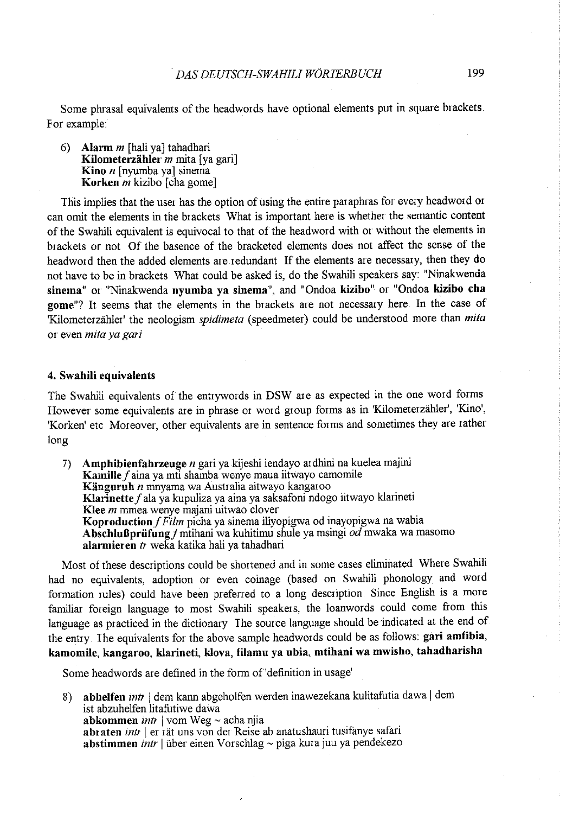Some phrasal equivalents of the headwords have optional elements put in square brackets For example:

6) Alarm *m* [hali ya] tahadhari Kilometerzähler *m* mita [ya gari] Kino *n* [ nyumba ya] sinema Korken *m* kizibo [cha gome]

This implies that the user has the option of using the entire paraphras for every headword or can omit the elements in the brackets What is important here is whether the semantic content of the Swahili equivalent is equivocal to that of the headword with or without the elements in brackets or not Of the basence of the bracketed elements does not affect the sense of the headword then the added elements are redundant If the elements are necessary, then they do not have to be in brackets What could be asked is, do the Swahili speakers say: "Ninakwenda sinema" or "Ninakwenda nyumba ya sinema", and "Ondoa kizibo" or "Ondoa kizibo cha gome"? It seems that the elements in the brackets are not necessary here In the case of 'Kilometerzahler' the neologism *spidimeta* (speedmeter) could be understood more than *mita*  or even *mita ya gari* 

### 4. Swahili equivalents

The Swahili equivalents of the entrywords in DSW are as expected in the one word forms However some equivalents are in phrase or word group forms as in 'Kilometerzahler', 'Kino', 'Korken' etc Moreover, other equivalents are in sentence forms and sometimes they are rather long

7) Amphibienfahrzeuge *n* gari ya kijeshi iendayo ardhini na kuelea majini Kamille *f* aina ya mti shamba wenye maua iitwayo camomile Kiinguruh *n* mnyama wa Australia aitwayo kangaroo Klarinette f ala ya kupuliza ya aina ya saksafoni ndogo iitwayo klarineti Klee *m* mmea wenye majani uitwao clover Koproduction *f Film* picha ya sinema iliyopigwa od inayopigwa na wabia Abschlußprüfung f mtihani wa kuhitimu shule ya msingi od mwaka wa masomo alarmieren *tr* weka katika hali ya tahadhari

Most of these descriptions could be shortened and in some cases eliminated Where Swahili had no equivalents, adoption or even coinage (based on Swahili phonology and word formation rules) could have been preferred to a long description Since English is a more familiar foreign language to most Swahili speakers, the loanwords could come from this language as practiced in the dictionary The source language should be indicated at the end of the entry. The equivalents for the above sample headwords could be as follows: gari amfibia, kamomile, kangaroo, klar'ineti, klova, filamu ya ubia, mtihani wa mwisho, tahadharisha

Some headwords are defined in the form of'definition in usage'

8) abhelfen *intr* | dem kann abgeholfen werden inawezekana kulitafutia dawa | dem ist abzuhelfen litafutiwe dawa abkommen *intr* I vom Weg- acha njia abraten *intr* | er rät uns von der Reise ab anatushauri tusifanye safari **abstimmen** *intr* | über einen Vorschlag  $\sim$  piga kura juu ya pendekezo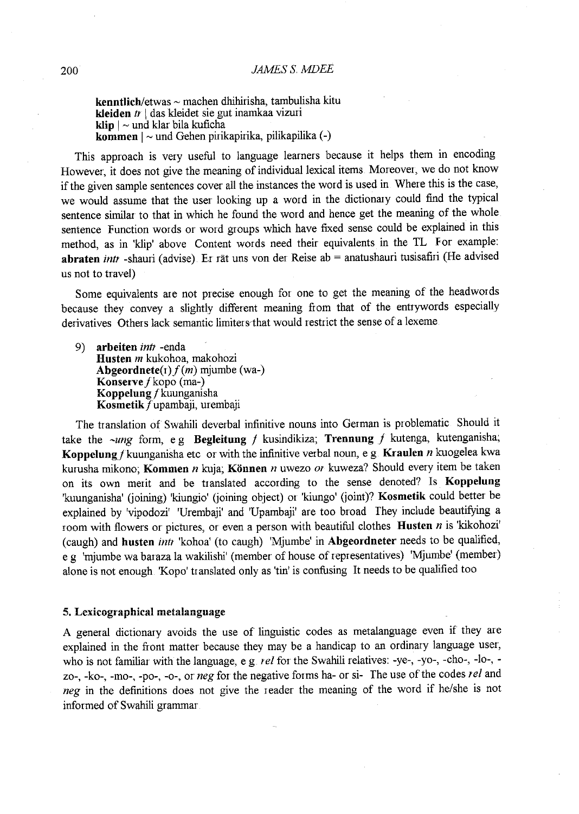**kenntlich/etwas-** machen dhihirisha, tambulisha kitu **kleiden** tr I das kleidet sie gut inamkaa vizuri **klip**  $| \sim$  und klar bila kuficha **kommen**  $| \sim$  und Gehen pirikapirika, pilikapilika  $(-)$ 

This approach is very useful to language learners because it helps them in encoding However, it does not give the meaning of individual lexical items Moreover, we do not know if the given sample sentences cover all the instances the word is used in Where this is the case, we would assume that the user looking up a word in the dictionary could find the typical sentence similar to that in which he found the word and hence get the meaning of the whole sentence Function words or word groups which have fixed sense could be explained in this method, as in 'klip' above Content words need their equivalents in the TL For example: **abraten** intr -shauri (advise) Er rat uns von der Reise ab = anatushauri tusisafiri (He advised us not to travel)

Some equivalents are not precise enough for one to get the meaning of the headwords because they convey a slightly different meaning fiom that of the entrywords especially derivatives Others lack semantic limiters that would restrict the sense of a lexeme

9) **arbeiten** *intr* -enda **Husten** *m* kukohoa, makohozi **Abgeordnete**( $r$ )  $f(m)$  mjumbe (wa-) Konserve f kopo (ma-) **Koppelung** fkuunganisha **Kosmetik** fupambaji, urembaji

The translation of Swahili deverbal infinitive nouns into German is problematic Should it take the *-ung* form, e g **Begleitung** f kusindikiza; **Trennung** f kutenga, kutenganisha; Koppelung f kuunganisha etc or with the infinitive verbal noun, e g. Kraulen *n* kuogelea kwa kurusha mikono; **Kommen** n kuja; **Kiinnen** n uwezo or kuweza? Should every item be taken on its own merit and be translated according to the sense denoted? Is **Koppelung**  'kuunganisha' (joining) 'kiungio' (joining object) or 'kiungo' (joint)? **Kosmetik** could better be explained by 'vipodozi' 'Urembaji' and 'Upambaji' are too broad They include beautifying a room with flowers or pictures, or even a person with beautiful clothes **Husten** *n* is 'kikohozi' (caugh) and husten *intr* 'kohoa' (to caugh) 'Mjumbe' in Abgeordneter needs to be qualified, e g 'mjumbe wa baraza la wakilishi' (member of house of representatives) 'Mjumbe' (member) alone is not enough. 'Kopo' translated only as 'tin' is confusing It needs to be qualified too

#### **5. Lexicographical metalanguage**

A general dictionary avoids the use of linguistic codes as metalanguage even if they are explained in the front matter because they may be a handicap to an ordinary language user, who is not familiar with the language, e g. *rel* for the Swahili relatives: -ye-, -yo-, -cho-, -lo-, zo-, -ko-, -mo-, -po-, -o-, or *neg* for the negative forms ha- or si- The use of the codes *rel* and *neg* in the definitions does not give the reader the meaning of the word if he/she is not informed of Swahili grammar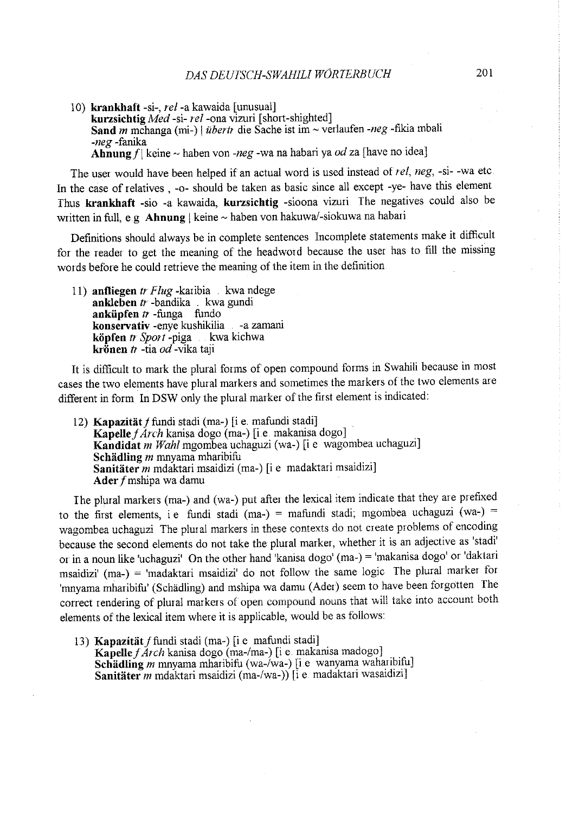10) krankhaft -si-, *rei-a* kawaida [unusual] kurzsichtig *Med* -si- *rel-ona* vizuri [short-shighted] Sand *m* mchanga (mi-) | *überti* die Sache ist im ~ verlaufen -neg -fikia mbali *-neg* -fanika Ahnung  $f$  keine ~ haben von *-neg* -wa na habari ya *od* za [have no idea]

The user would have been helped if an actual word is used instead of *re!, neg,* -si- -wa etc In the case of relatives , -o- should be taken as basic since all except -ye- have this element Thus krankhaft -sio -a kawaida, kurzsichtig -sioona vizuri The negatives could also be written in full, e.g Ahnung | keine  $\sim$  haben von hakuwa/-siokuwa na habari.

Definitions should always be in complete sentences Incomplete statements make it difficult for the reader to get the meaning of the headword because the user has to fill the missing words before he could retrieve the meaning of the item in the definition

11) anfliegen tr Flug -karibia kwa ndege ankleben  $tr$  -bandika kwa gundi anküpfen  $tr$  -funga fundo konservativ -enye kushikilia - -a zamani **köpfen** *tr Sport* -piga kwa kichwa kr**önen** *tr* -tia *od* -vika taji

It is difficult to mark the plural forms of open compound forms in Swahili because in most cases the two elements have plural markers and sometimes the markers of the two elements are different in form In DSW only the plural marker of the first element is indicated:

12) Kapazität f fundi stadi (ma-) [i e. mafundi stadi] *KapellejArch* kanisa dogo (ma-) [i.e makanisa dogo] Kandidat *m Wahl* mgornbea uchaguzi (wa-) [i e wagombea uchaguzi] Schädling *m* mnyama mharibifu Sanitäter *m* mdaktari msaidizi (ma-) [i e madaktari msaidizi] Ader f mshipa wa damu

Ihe plural markers (ma-) and (wa-) put after the lexical item indicate that they are prefixed to the first elements, i e fundi stadi (ma-) = mafundi stadi; mgombea uchaguzi (wa-) = wagombea uchaguzi The plural markers in these contexts do not create problems of encoding because the second elements do not take the plural marker, whether it is an adjective as 'stadi' or in a noun like 'uchaguzi' On the other hand 'kanisa dogo' (ma-) = 'makanisa dogo' or 'daktari msaidizi' (ma-) = 'madaktari msaidizi' do not follow the same logic The plural marker for 'mnyama mharibifu' (Schadling) and mshipa wa damu (Ader) seem to have been forgotten The correct rendering of plural markers of open compound nouns that will take into account both elements of the lexical item where it is applicable, would be as follows:

13) Kapazität f fundi stadi (ma-) [i e mafundi stadi] Kapelle f Arch kanisa dogo (ma-/ma-) [i e makanisa madogo] Schädling *m* mnyama mharibifu (wa-/wa-) [i e wanyama waharibifu] Sanitater *m* mdaktari msaidizi (ma-/wa-)) [i e. madaktari wasaidizi]